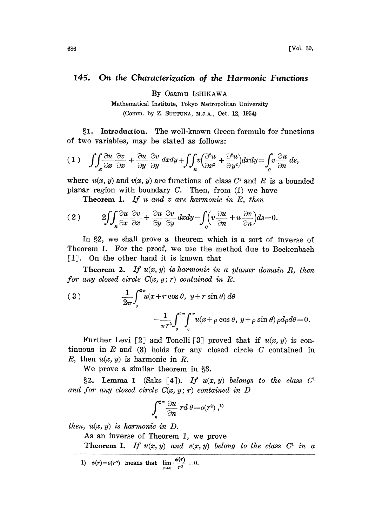## 145. On the Characterization of the Harmonic Functions

By Osamu ISHIKAWA

Mathematical Institute, Tokyo Metropolitan University (Comm. by Z. SUETUNA, M.J.A., Oct. 12, 1954)

1. Introduction. The well-known Green formula for functions of two variables, may be stated as follows:

$$
(1) \quad \iint_{\mathbf{z}} \frac{\partial u}{\partial x} \frac{\partial v}{\partial x} + \frac{\partial u}{\partial y} \frac{\partial v}{\partial y} dxdy + \iint_{\mathbf{z}} v \left( \frac{\partial^2 u}{\partial x^2} + \frac{\partial^2 u}{\partial y^2} \right) dxdy = \int_{C} v \frac{\partial u}{\partial n} ds,
$$

where  $u(x, y)$  and  $v(x, y)$  are functions of class  $C<sup>2</sup>$  and R is a bounded planar region with boundary  $C$ . Then, from  $(1)$  we have

**Theorem 1.** If u and v are harmonic in  $R$ , then

$$
(2) \qquad 2 \iint_R \frac{\partial u}{\partial x} \frac{\partial v}{\partial x} + \frac{\partial u}{\partial y} \frac{\partial v}{\partial y} dxdy - \int_c \left(v \frac{\partial u}{\partial n} + u \frac{\partial v}{\partial n}\right) ds = 0.
$$

In \$2, we shall prove a theorem which is a sort of inverse of Theorem I. For the proof, we use the method due to Beckenbach  $\lceil 1 \rceil$ . On the other hand it is known that

**Theorem 2.** If  $u(x, y)$  is harmonic in a planar domain R, then for any closed circle  $C(x, y; r)$  contained in R.

(3) 
$$
\frac{1}{2\pi} \int_0^{2\pi} u(x + r \cos \theta, y + r \sin \theta) d\theta
$$

$$
- \frac{1}{\pi r^2} \int_0^{2\pi} \int_0^r u(x + \rho \cos \theta, y + \rho \sin \theta) \rho d\rho d\theta = 0.
$$

Further Levi [2] and Tonelli [3] proved that if  $u(x, y)$  is continuous in  $R$  and  $(3)$  holds for any closed circle  $C$  contained in R, then  $u(x, y)$  is harmonic in R.

We prove a similar theorem in §3.

§2. Lemma 1 (Saks [4]). If  $u(x, y)$  belongs to the class  $C<sup>T</sup>$ and for any closed circle  $C(x, y; r)$  contained in D

$$
\int_0^{2\pi} \frac{\partial u}{\partial n} \ r d\ \theta = o(r^2) \ ,^{1)}
$$

then,  $u(x, y)$  is harmonic in  $D$ .

As an inverse of Theorem 1, we prove

Theorem I. If  $u(x, y)$  and  $v(x, y)$  belong to the class  $C^1$  in a

1)  $\phi(r) = o(r^{\alpha})$  means that  $\lim_{r\to 0} \frac{\phi(r)}{r^{\alpha}} = 0.$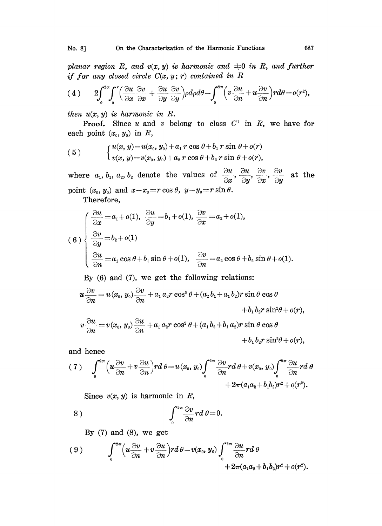planar region R, and  $v(x, y)$  is harmonic and  $\pm 0$  in R, and further if for any closed circle  $C(x, y; r)$  contained in R

$$
(4) \qquad 2\!\!\int_{0}^{2\pi}\!\!\int_{0}^{r}\!\!\left(\frac{\partial u}{\partial x}\frac{\partial v}{\partial x}+\frac{\partial u}{\partial y}\frac{\partial v}{\partial y}\right)\rho d\rho d\theta-\!\!\int_{0}^{2\pi}\!\!\left(v\frac{\partial u}{\partial n}+u\frac{\partial v}{\partial n}\right)\!r d\theta\!=o(r^{2}),
$$

then  $u(x, y)$  is harmonic in R.

**Proof.** Since u and v belong to class  $C^1$  in R, we have for each point  $(x_0, y_0)$  in  $R$ ,

(5) 
$$
\begin{cases} u(x, y) = u(x_0, y_0) + a_1 r \cos \theta + b_1 r \sin \theta + o(r) \\ v(x, y) = v(x_0, y_0) + a_2 r \cos \theta + b_2 r \sin \theta + o(r), \end{cases}
$$

where  $a_1, b_1, a_2, b_2$  denote the values of  $\frac{\partial u}{\partial x}, \frac{\partial u}{\partial y}, \frac{\partial v}{\partial x}, \frac{\partial v}{\partial y}$  at the point  $(x_0, y_0)$  and  $x-x_0=r\cos\theta$ ,  $y-y_0=r\sin\theta$ .

Therefore,

(6)  
\n
$$
\begin{cases}\n\frac{\partial u}{\partial x} = a_1 + o(1), \frac{\partial u}{\partial y} = b_1 + o(1), \frac{\partial v}{\partial x} = a_2 + o(1), \\
\frac{\partial v}{\partial y} = b_2 + o(1) \\
\frac{\partial u}{\partial n} = a_1 \cos \theta + b_1 \sin \theta + o(1), \frac{\partial v}{\partial n} = a_2 \cos \theta + b_2 \sin \theta + o(1).\n\end{cases}
$$
\nBy (6) and (7), we get the following relations:  
\n
$$
u \frac{\partial v}{\partial x} = u(x_0, y_0) \frac{\partial v}{\partial x} + a_1 a_2 r \cos^2 \theta + (a_2 b_1 + a_1 b_2) r \sin \theta \cos \theta
$$

$$
u\frac{\partial v}{\partial n} = u(x_0, y_0) \frac{\partial v}{\partial n} + a_1 a_2 r \cos^2 \theta + (a_2 b_1 + a_1 b_2) r \sin \theta \cos \theta + b_1 b_2 r \sin^2 \theta + o(r),
$$
  

$$
v\frac{\partial u}{\partial n} = v(x_0, y_0) \frac{\partial u}{\partial n} + a_1 a_2 r \cos^2 \theta + (a_1 b_2 + b_1 a_2) r \sin \theta \cos \theta
$$

 $+ b_1 b_2 r \sin^2 \theta + o(r)$ ,

and hence

$$
(7) \qquad \int_{0}^{2\pi} \left(u \frac{\partial v}{\partial n} + v \frac{\partial u}{\partial n}\right) r d\theta = u(x_0, y_0) \int_{0}^{2\pi} \frac{\partial v}{\partial n} r d\theta + v(x_0, y_0) \int_{0}^{2\pi} \frac{\partial u}{\partial n} r d\theta + 2\pi (a_1 a_2 + b_1 b_2) r^2 + o(r^2).
$$

Since  $v(x, y)$  is harmonic in R,

8) 
$$
\int_{0}^{2\pi} \frac{\partial v}{\partial n} r d\theta = 0.
$$

By  $(7)$  and  $(8)$ , we get

$$
(9) \qquad \int_{0}^{2\pi} \left(u \frac{\partial v}{\partial n} + v \frac{\partial u}{\partial n}\right) r d\theta = v(x_0, y_0) \int_{0}^{2\pi} \frac{\partial u}{\partial n} r d\theta + 2\pi (a_1 a_2 + b_1 b_2) r^2 + o(r^2).
$$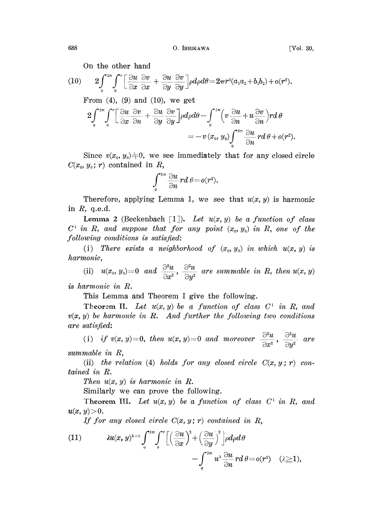On the other hand

(10) 
$$
2\int_{0}^{2\pi}\int_{0}^{r}\left[\frac{\partial u}{\partial x}\frac{\partial v}{\partial x}+\frac{\partial u}{\partial y}\frac{\partial v}{\partial y}\right]\rho d\rho d\theta=2\pi r^{2}(a_{1}a_{2}+b_{1}b_{2})+o(r^{2}).
$$

From  $(4)$ ,  $(9)$  and  $(10)$ , we get

$$
2\int_{0}^{2\pi} \int_{0}^{r} \left[\frac{\partial u}{\partial x} \frac{\partial v}{\partial n} + \frac{\partial u}{\partial y} \frac{\partial v}{\partial y}\right] \rho d\rho d\theta - \int_{0}^{2\pi} \left(v \frac{\partial u}{\partial n} + u \frac{\partial v}{\partial n}\right) r d\theta
$$
  
=  $-v(x_0, y_0) \int_{0}^{2\pi} \frac{\partial u}{\partial n} r d\theta + o(r^2).$ 

Since  $v(x_0, y_0) \neq 0$ , we see immediately that for any closed circle  $C(x_0, y_0; r)$  contained in R,

$$
\int\limits_0^{2\pi}\frac{\partial u}{\partial n}rd\;\theta\!=\!o(r^2).
$$

Therefore, applying Lemma 1, we see that  $u(x, y)$  is harmonic in  $R$ , q.e.d.

**Lemma 2** (Beckenbach [1]). Let  $u(x, y)$  be a function of class  $C^1$  in R, and suppose that for any point  $(x_0, y_0)$  in R, one of the .following conditions is satisfied:

(i) There exists a neighborhood of  $(x_0, y_0)$  in which  $u(x, y)$  is harmonic,

nonic,<br>
(ii)  $u(x_0, y_0)=0$  and  $\frac{\partial^2 u}{\partial x^2}$ ,  $\frac{\partial^2 u}{\partial y^2}$  are summable in R, then  $u(x, y)$ 

is harmonic in R.

This Lemma and Theorem <sup>I</sup> give the following.

Theorem II. Let  $u(x, y)$  be a function of class  $C^1$  in R, and  $v(x, y)$  be harmonic in R. And further the following two conditions are satisfied:

(i) if  $v(x, y)=0$ , then  $u(x, y)=0$  and moreover  $\frac{\partial^2 u}{\partial x^2}$ ,  $\frac{\partial^2 u}{\partial y^2}$  are summable in R,

(ii) the relation (4) holds for any closed circle  $C(x, y; r)$  contained in R.

Then  $u(x, y)$  is harmonic in  $R$ .

Similarly we can prove the following.

Theorem III. Let  $u(x, y)$  be a function of class  $C^1$  in R, and  $u(x, y) > 0.$ 

If for any closed circle  $C(x, y; r)$  contained in R,

(11) 
$$
\lambda u(x, y)^{\lambda-1} \int_{0}^{2\pi} \int_{0}^{r} \left[ \left( \frac{\partial u}{\partial x} \right)^{2} + \left( \frac{\partial u}{\partial y} \right)^{2} \right] \rho d\rho d\theta - \int_{0}^{2\pi} u^{\lambda} \frac{\partial u}{\partial n} r d\theta = o(r^{2}) \quad (\lambda \ge 1),
$$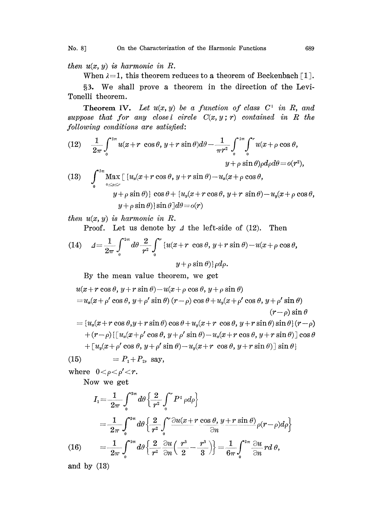then  $u(x, y)$  is harmonic in R.

When  $\lambda = 1$ , this theorem reduces to a theorem of Beckenbach [1].

§3. We shall prove a theorem in the direction of the Levi-Tonelli theorem.

**Theorem IV.** Let  $u(x, y)$  be a function of class  $C^1$  in R, and suppose that for any closel circle  $C(x, y; r)$  contained in R the following conditions are satisfied:

(12) 
$$
\frac{1}{2\pi} \int_{0}^{2\pi} u(x+r \cos \theta, y+r \sin \theta) d\theta - \frac{1}{\pi r^{2}} \int_{0}^{2\pi} \int_{0}^{r} u(x+\rho \cos \theta, y+\rho \sin \theta) \rho d\rho d\theta = o(r^{2}),
$$
  
\n(13) 
$$
\int_{0}^{2\pi} \max_{0 \le \rho \le r} [\, u_{x}(x+r \cos \theta, y+r \sin \theta) - u_{x}(x+\rho \cos \theta, y+\rho \sin \theta) ] \cos \theta + \, [u_{y}(x+r \cos \theta, y+r \sin \theta) - u_{y}(x+\rho \cos \theta, y+\rho \sin \theta)] \sin \theta ] d\theta = o(r)
$$

then  $u(x, y)$  is harmonic in R.

Proof. Let us denote by  $\Delta$  the left-side of (12). Then

(14) 
$$
\Delta = \frac{1}{2\pi} \int_0^{2\pi} d\theta \frac{2}{r^2} \int_0^r \left\{ u(x+r \cos \theta, y+r \sin \theta) - u(x+\rho \cos \theta, y+\rho \sin \theta \right\} d\rho.
$$

By the mean value theorem, we get

$$
u(x+r\cos\theta, y+r\sin\theta)-u(x+\rho\cos\theta, y+\rho\sin\theta)
$$
  
=  $u_x(x+\rho'\cos\theta, y+\rho'\sin\theta) (r-\rho)\cos\theta + u_y(x+\rho'\cos\theta, y+\rho'\sin\theta)$   
 $(r-\rho)\sin\theta$   
=  $\{u_x(x+r\cos\theta, y+r\sin\theta)\cos\theta + u_y(x+r\cos\theta, y+r\sin\theta)\sin\theta\}(r-\rho)$   
 $+(r-\rho)\{[u_x(x+\rho'\cos\theta, y+\rho'\sin\theta)-u_x(x+r\cos\theta, y+r\sin\theta)]\cos\theta$   
 $+ [u_y(x+\rho'\cos\theta, y+\rho'\sin\theta)-u_y(x+r\cos\theta, y+r\sin\theta)]\sin\theta\}$ 

(15)  $= P_1 + P_2$ , say,

where  $0 < \rho < \rho' < r$ .

Now we get

$$
I_{1} = \frac{1}{2\pi} \int_{0}^{2\pi} d\theta \left\{ \frac{2}{r^{2}} \int_{0}^{r} P^{1} \rho d\rho \right\}
$$
  

$$
= \frac{1}{2\pi} \int_{0}^{2\pi} d\theta \left\{ \frac{2}{r^{2}} \int_{0}^{r} \frac{\partial u(x+r \cos \theta, y+r \sin \theta)}{\partial n} \rho(r-\rho) d\rho \right\}
$$
  
(16) 
$$
= \frac{1}{2\pi} \int_{0}^{2\pi} d\theta \left\{ \frac{2}{r^{2}} \frac{\partial u}{\partial n} \left( \frac{r^{3}}{2} - \frac{r^{3}}{3} \right) \right\} = \frac{1}{6\pi} \int_{0}^{2\pi} \frac{\partial u}{\partial n} r d\theta,
$$

and by (13)